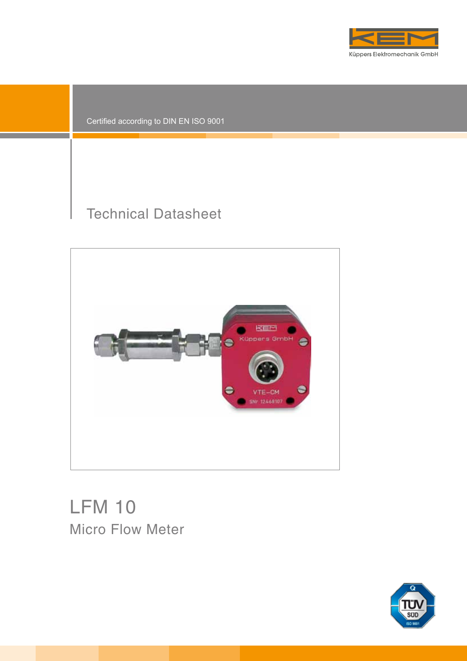

Certified according to DIN EN ISO 9001

# Technical Datasheet



# LFM 10 Micro Flow Meter

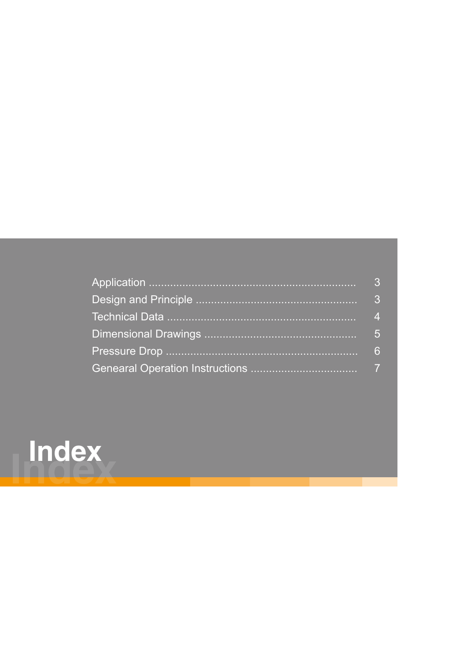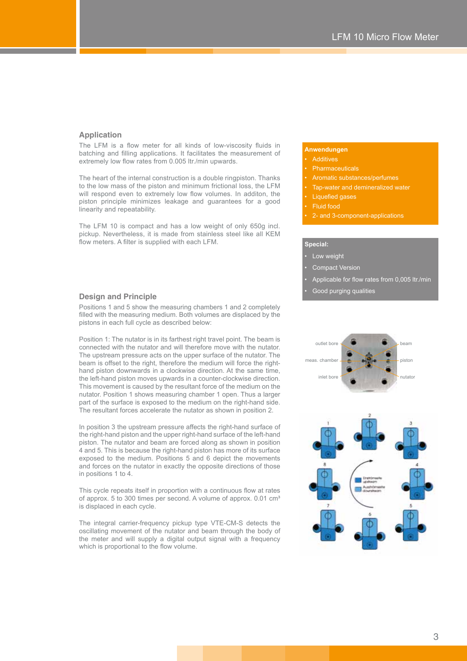# **Application**

The LFM is a flow meter for all kinds of low-viscosity fluids in batching and filling applications. It facilitates the measurement of extremely low flow rates from 0.005 ltr./min upwards.

The heart of the internal construction is a double ringpiston. Thanks to the low mass of the piston and minimum frictional loss, the LFM will respond even to extremely low flow volumes. In additon, the piston principle minimizes leakage and guarantees for a good linearity and repeatability.

The LFM 10 is compact and has a low weight of only 650g incl. pickup. Nevertheless, it is made from stainless steel like all KEM flow meters. A filter is supplied with each LFM.

## **Anwendungen**

#### **Additives**

- 
- Aromatic substances/perfumes
- Tap-water and demineralized water
- Liquefied gases
- Fluid food
- 2- and 3-component-applications

#### **Special:**

- Low weight
- Compact Version
- Applicable for flow rates from 0,005 ltr./min
- Good purging qualities

# **Design and Principle**

Positions 1 and 5 show the measuring chambers 1 and 2 completely filled with the measuring medium. Both volumes are displaced by the pistons in each full cycle as described below:

Position 1: The nutator is in its farthest right travel point. The beam is connected with the nutator and will therefore move with the nutator. The upstream pressure acts on the upper surface of the nutator. The beam is offset to the right, therefore the medium will force the righthand piston downwards in a clockwise direction. At the same time, the left-hand piston moves upwards in a counter-clockwise direction. This movement is caused by the resultant force of the medium on the nutator. Position 1 shows measuring chamber 1 open. Thus a larger part of the surface is exposed to the medium on the right-hand side. The resultant forces accelerate the nutator as shown in position 2.

In position 3 the upstream pressure affects the right-hand surface of the right-hand piston and the upper right-hand surface of the left-hand piston. The nutator and beam are forced along as shown in position 4 and 5. This is because the right-hand piston has more of its surface exposed to the medium. Positions 5 and 6 depict the movements and forces on the nutator in exactly the opposite directions of those in positions 1 to 4.

This cycle repeats itself in proportion with a continuous flow at rates of approx. 5 to 300 times per second. A volume of approx. 0.01 cm<sup>3</sup> is displaced in each cycle.

The integral carrier-frequency pickup type VTE-CM-S detects the oscillating movement of the nutator and beam through the body of the meter and will supply a digital output signal with a frequency which is proportional to the flow volume.



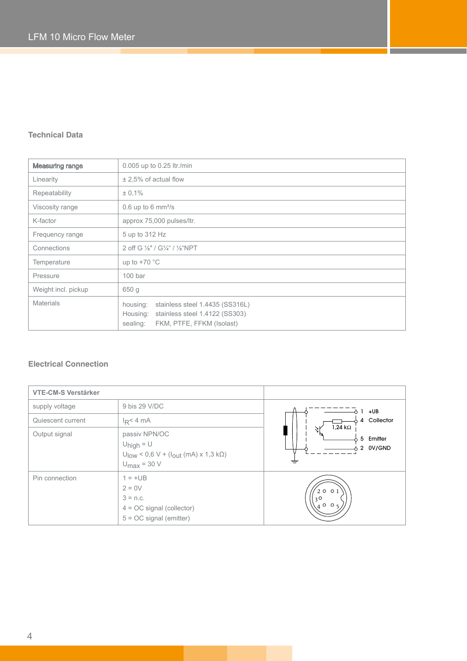# **Technical Data**

| <b>Measuring range</b> | 0.005 up to 0.25 ltr./min                                                                                                          |  |  |  |
|------------------------|------------------------------------------------------------------------------------------------------------------------------------|--|--|--|
| Linearity              | $\pm$ 2,5% of actual flow                                                                                                          |  |  |  |
| Repeatability          | ± 0,1%                                                                                                                             |  |  |  |
| Viscosity range        | $0.6$ up to 6 mm <sup>2</sup> /s                                                                                                   |  |  |  |
| K-factor               | approx 75,000 pulses/ltr.                                                                                                          |  |  |  |
| Frequency range        | 5 up to 312 Hz                                                                                                                     |  |  |  |
| Connections            | 2 off G 1/s" / G1/4" / 1/s"NPT                                                                                                     |  |  |  |
| Temperature            | up to $+70$ °C                                                                                                                     |  |  |  |
| Pressure               | 100 <sub>bar</sub>                                                                                                                 |  |  |  |
| Weight incl. pickup    | 650 g                                                                                                                              |  |  |  |
| <b>Materials</b>       | housing:<br>stainless steel 1.4435 (SS316L)<br>stainless steel 1.4122 (SS303)<br>Housing:<br>FKM, PTFE, FFKM (Isolast)<br>sealing: |  |  |  |

# **Electrical Connection**

| <b>VTE-CM-S Verstärker</b> |                                                                                                                                   |                                                                               |  |  |
|----------------------------|-----------------------------------------------------------------------------------------------------------------------------------|-------------------------------------------------------------------------------|--|--|
| supply voltage             | 9 bis 29 V/DC                                                                                                                     | +UB<br>Collector<br>$\overline{4}$<br>$1,24$ kΩ<br>5 Emitter<br>2 OV/GND<br>≢ |  |  |
| Quiescent current          | $I_R < 4$ mA                                                                                                                      |                                                                               |  |  |
| Output signal              | passiv NPN/OC<br>$U_{\text{high}} = U$<br>$U_{\text{low}}$ < 0,6 V + ( $I_{\text{out}}$ (mA) x 1,3 kΩ)<br>$U_{\text{max}}$ = 30 V |                                                                               |  |  |
| Pin connection             | $1 = +UB$<br>$2 = 0V$<br>$3 = n.c.$<br>$4 = OC$ signal (collector)<br>$5 = OC$ signal (emitter)                                   | 200<br>$3^{\circ}$<br>$\setminus$ 400.                                        |  |  |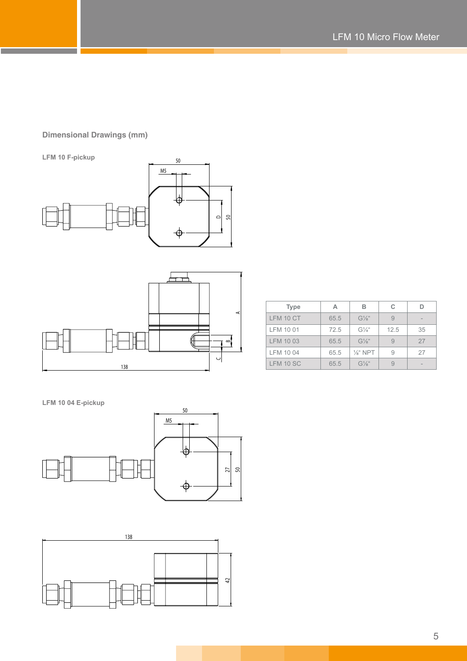# **Dimensional Drawings (mm)**

**LFM 10 F-pickup**





| <b>Type</b> | А    | R                   | С    |    |
|-------------|------|---------------------|------|----|
| LFM 10 CT   | 65.5 | $G1/8$ "            |      |    |
| LFM 10 01   | 72.5 | G''                 | 12.5 | 35 |
| LFM 10 03   | 65.5 | $G1/8$ "            |      | 27 |
| LFM 10 04   | 65.5 | $\frac{1}{8}$ " NPT |      | 27 |
| LFM 10 SC   | 65.5 | $G1/8$ "            |      |    |

**LFM 10 04 E-pickup**



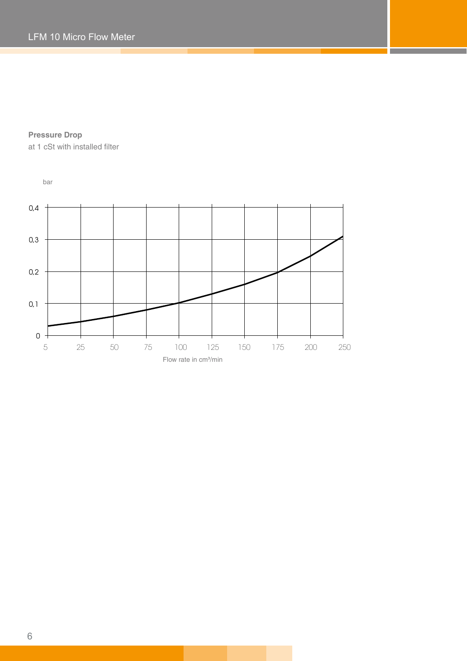**Pressure Drop**

at 1 cSt with installed filter

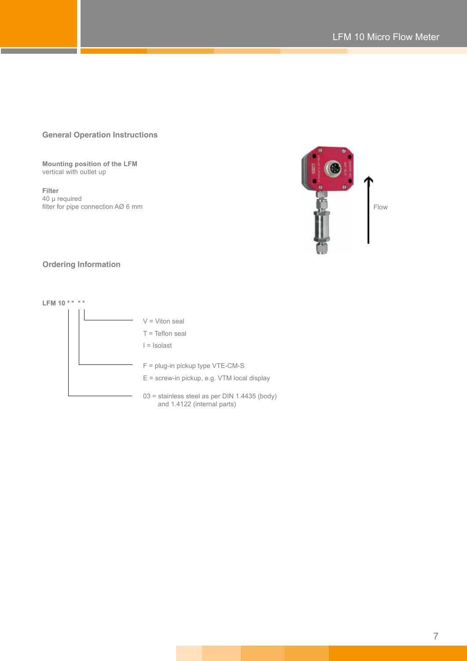# **General Operation Instructions**

**Mounting position of the LFM** vertical with outlet up

**Filter** 40 μ required filter for pipe connection AØ 6 mm Flow



# **Ordering Information**